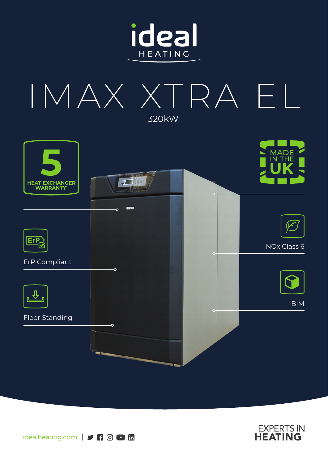







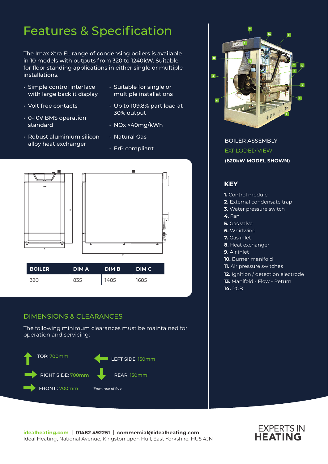# Features & Specification

The Imax Xtra EL range of condensing boilers is available in 10 models with outputs from 320 to 1240kW. Suitable for floor standing applications in either single or multiple installations.

- Simple control interface with large backlit display
- Volt free contacts
- 0-10V BMS operation standard
- Robust aluminium silicon alloy heat exchanger
- Suitable for single or multiple installations
- Up to 109.8% part load at 30% output
- NOx <40mg/kWh
- Natural Gas
- ErP compliant



### DIMENSIONS & CLEARANCES

The following minimum clearances must be maintained for operation and servicing:





BOILER ASSEMBLY EXPLODED VIEW **(620kW MODEL SHOWN)**

### **KEY**

- **1.** Control module
- **2.** External condensate trap
- **3.** Water pressure switch
- **4.** Fan
- **5.** Gas valve
- **6.** Whirlwind
- **7.** Gas inlet
- **8.** Heat exchanger
- **9.** Air inlet
- **10.** Burner manifold
- **11.** Air pressure switches
- **12.** Ignition / detection electrode
- **13.** Manifold Flow Return
- **14.** PCB

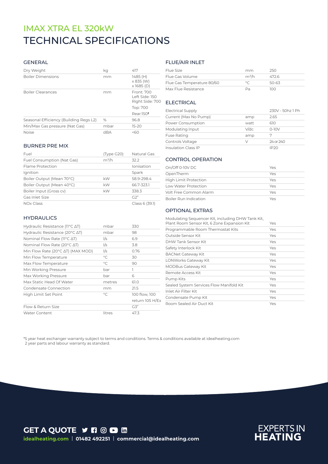## TECHNICAL SPECIFICATIONS IMAX XTRA EL 320kW

#### GENERAL

| Dry Weight                             | kq   | 417                                             |
|----------------------------------------|------|-------------------------------------------------|
| <b>Boiler Dimensions</b>               | mm   | 1485 (H)<br>$\times$ 835 (W)<br>$x$ 1685 (D)    |
| <b>Boiler Clearances</b>               | mm   | Front: 700<br>Left Side: 150<br>Right Side: 700 |
|                                        |      | Top: 700                                        |
|                                        |      | Rear:150 <sup>t</sup>                           |
| Seasonal Efficiency (Building Regs L2) | $\%$ | 96.8                                            |
| Min/Max Gas pressure (Nat Gas)         | mbar | $15 - 20$                                       |
| <b>Noise</b>                           | dBA  | 50                                              |

Fuel (Type G20) Natural Gas Fuel Consumption (Nat Gas) m<sup>3</sup>/h 32.2 Flame Protection **Internal Community** Ionisation Ignition Spark Spark Boiler Output (Mean 70°C) kW 58.9-298.4 Boiler Output (Mean 40°C) kW 66.7-323.1 Boiler Input (Gross cv) kW 338.3 Gas Inlet Size G2" NOx Class 6 (39.1)

# FLUE/AIR INLET

| Flue Size                  | mm             | 250.  |
|----------------------------|----------------|-------|
| Flue Gas Volume            | $m^3/h$        | 472.6 |
| Flue Gas Temperature 80/60 | $\circ$ $\sim$ | 50-63 |
| Max Flue Resistance        | Pa             | חחו   |

#### **ELECTRICAL**

| <b>Electrical Supply</b>   |      | 230V - 50hz 1 Ph |
|----------------------------|------|------------------|
| Current (Max No Pump)      | amp  | 2.65             |
| Power Consumption          | watt | 610              |
| Modulating Input           | V/dc | $0-10V$          |
| <b>Fuse Rating</b>         | amp  |                  |
| Controls Voltage           | V    | 24 or 240        |
| <b>Insulation Class IP</b> |      | IP20             |

#### CONTROL OPERATION

| On/Off 0-10V DC        | Yes |
|------------------------|-----|
| OpenTherm              | Yes |
| High Limit Protection  | Yes |
| Low Water Protection   | Yes |
| Volt Free Common Alarm | Yes |
| Boiler Run Indication  | Yes |

#### OPTIONAL EXTRAS

|  | <b>HYDRAULICS</b> |  |  |
|--|-------------------|--|--|
|  |                   |  |  |

BURNER PRE MIX

| Hydraulic Resistance ( $11^{\circ}$ C $\Delta$ T) | mbar          | 330             |
|---------------------------------------------------|---------------|-----------------|
| Hydraulic Resistance (20°C ∆T)                    | mbar          | 98              |
| Nominal Flow Rate (11 $^{\circ}$ C $\Delta$ T)    | 1/s           | 6.9             |
| Nominal Flow Rate (20°C $\Delta T$ )              | $\frac{1}{s}$ | 3.8             |
| Min Flow Rate (20°C AT) (MAX MOD)                 | $\frac{1}{s}$ | 0.76            |
| Min Flow Temperature                              | $^{\circ}C$   | 30              |
| Max Flow Temperature                              | $^{\circ}C$   | 90              |
| Min Working Pressure                              | bar           | ı               |
| Max Working Pressure                              | bar           | 6               |
| Max Static Head Of Water                          | metres        | 61.0            |
| Condensate Connection                             | mm            | 21.5            |
| High Limit Set Point                              | $^{\circ}C$   | 100 flow, 100   |
|                                                   |               | return 105 H/Ex |
| Flow & Return Size                                |               | G3"             |
| <b>Water Content</b>                              | litres        | 47.3            |

| Modulating Sequencer Kit, including DHW Tank Kit,<br>Plant Room Sensor Kit, 6 Zone Expansion Kit | Yes |
|--------------------------------------------------------------------------------------------------|-----|
| Programmable Room Thermostat Kits                                                                | Yes |
| Outside Sensor Kit                                                                               | Yes |
| DHW Tank Sensor Kit                                                                              | Yes |
| Safety Interlock Kit                                                                             | Yes |
| <b>BACNet Gateway Kit</b>                                                                        | Yes |
| LONWorks Gateway Kit                                                                             | Yes |
| <b>MODBus Gateway Kit</b>                                                                        | Yes |
| Remote Access Kit                                                                                | Yes |
| Pump Kits                                                                                        | Yes |
| Sealed System Services Flow Manifold Kit                                                         | Yes |
| Inlet Air Filter Kit                                                                             | Yes |
| Condensate Pump Kit                                                                              | Yes |
| Room Sealed Air Duct Kit                                                                         | Yes |

\*5 year heat exchanger warranty subject to terms and conditions. Terms & conditions available at idealheating.com 2 year parts and labour warranty as standard.

**GET A QUOTE Y FI © D in idealheating.com** | **01482 492251** | **commercial@idealheating.com**